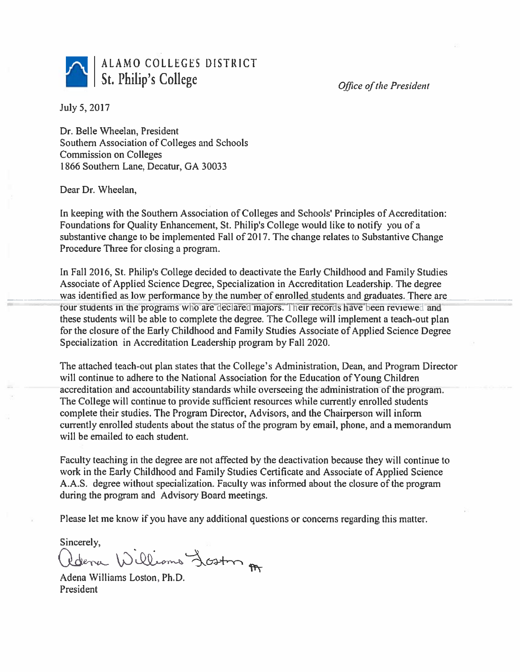ALAMO COLLEGES DISTRICT St. Philip's College

Office of the President

July 5, 2017

Dr. Belle Wheelan, President Southern Association of Colleges and Schools **Commission on Colleges** 1866 Southern Lane, Decatur, GA 30033

Dear Dr. Wheelan,

In keeping with the Southern Association of Colleges and Schools' Principles of Accreditation: Foundations for Quality Enhancement, St. Philip's College would like to notify you of a substantive change to be implemented Fall of 2017. The change relates to Substantive Change Procedure Three for closing a program.

In Fall 2016, St. Philip's College decided to deactivate the Early Childhood and Family Studies Associate of Applied Science Degree, Specialization in Accreditation Leadership. The degree was identified as low performance by the number of enrolled students and graduates. There are four students in the programs who are declared majors. Their records have been reviewed and these students will be able to complete the degree. The College will implement a teach-out plan for the closure of the Early Childhood and Family Studies Associate of Applied Science Degree Specialization in Accreditation Leadership program by Fall 2020.

The attached teach-out plan states that the College's Administration, Dean, and Program Director will continue to adhere to the National Association for the Education of Young Children accreditation and accountability standards while overseeing the administration of the program. The College will continue to provide sufficient resources while currently enrolled students complete their studies. The Program Director, Advisors, and the Chairperson will inform currently enrolled students about the status of the program by email, phone, and a memorandum will be emailed to each student.

Faculty teaching in the degree are not affected by the deactivation because they will continue to work in the Early Childhood and Family Studies Certificate and Associate of Applied Science A.A.S. degree without specialization. Faculty was informed about the closure of the program during the program and Advisory Board meetings.

Please let me know if you have any additional questions or concerns regarding this matter.

Sincerely,

Idena Williams Loston

Adena Williams Loston, Ph.D. President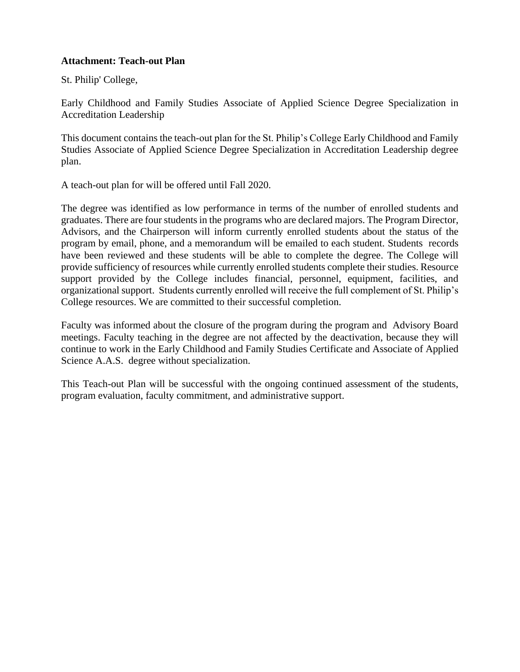## **Attachment: Teach-out Plan**

St. Philip' College,

Early Childhood and Family Studies Associate of Applied Science Degree Specialization in Accreditation Leadership

This document contains the teach-out plan for the St. Philip's College Early Childhood and Family Studies Associate of Applied Science Degree Specialization in Accreditation Leadership degree plan.

A teach-out plan for will be offered until Fall 2020.

The degree was identified as low performance in terms of the number of enrolled students and graduates. There are four students in the programs who are declared majors. The Program Director, Advisors, and the Chairperson will inform currently enrolled students about the status of the program by email, phone, and a memorandum will be emailed to each student. Students records have been reviewed and these students will be able to complete the degree. The College will provide sufficiency of resources while currently enrolled students complete their studies. Resource support provided by the College includes financial, personnel, equipment, facilities, and organizational support. Students currently enrolled will receive the full complement of St. Philip's College resources. We are committed to their successful completion.

Faculty was informed about the closure of the program during the program and Advisory Board meetings. Faculty teaching in the degree are not affected by the deactivation, because they will continue to work in the Early Childhood and Family Studies Certificate and Associate of Applied Science A.A.S. degree without specialization.

This Teach-out Plan will be successful with the ongoing continued assessment of the students, program evaluation, faculty commitment, and administrative support.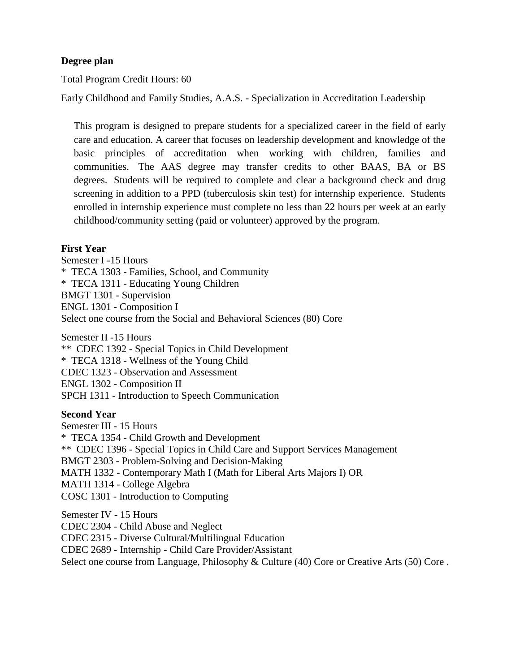# **Degree plan**

Total Program Credit Hours: 60

Early Childhood and Family Studies, A.A.S. - Specialization in Accreditation Leadership

This program is designed to prepare students for a specialized career in the field of early care and education. A career that focuses on leadership development and knowledge of the basic principles of accreditation when working with children, families and communities. The AAS degree may transfer credits to other BAAS, BA or BS degrees. Students will be required to complete and clear a background check and drug screening in addition to a PPD (tuberculosis skin test) for internship experience. Students enrolled in internship experience must complete no less than 22 hours per week at an early childhood/community setting (paid or volunteer) approved by the program.

## **First Year**

Semester I -15 Hours

\* TECA 1303 - [Families, School, and Community](http://myspccatalog.alamo.edu/preview_program.php?catoid=123&poid=11648&returnto=6926)

\* TECA 1311 - [Educating Young Children](http://myspccatalog.alamo.edu/preview_program.php?catoid=123&poid=11648&returnto=6926)

[BMGT 1301 -](http://myspccatalog.alamo.edu/preview_program.php?catoid=123&poid=11648&returnto=6926) Supervision

ENGL 1301 - [Composition I](http://myspccatalog.alamo.edu/preview_program.php?catoid=123&poid=11648&returnto=6926)

Select one course from the [Social and Behavioral Sciences \(80\) Core](http://myspccatalog.alamo.edu/preview_program.php?catoid=123&poid=11055)

Semester II -15 Hours

\*\* CDEC 1392 - [Special Topics in Child Development](http://myspccatalog.alamo.edu/preview_program.php?catoid=123&poid=11648&returnto=6926)

\* TECA 1318 - [Wellness of the Young Child](http://myspccatalog.alamo.edu/preview_program.php?catoid=123&poid=11648&returnto=6926)

CDEC 1323 - [Observation and Assessment](http://myspccatalog.alamo.edu/preview_program.php?catoid=123&poid=11648&returnto=6926)

ENGL 1302 - [Composition II](http://myspccatalog.alamo.edu/preview_program.php?catoid=123&poid=11648&returnto=6926)

SPCH 1311 - [Introduction to Speech Communication](http://myspccatalog.alamo.edu/preview_program.php?catoid=123&poid=11648&returnto=6926)

#### **Second Year**

Semester III - 15 Hours \* TECA 1354 - [Child Growth and Development](http://myspccatalog.alamo.edu/preview_program.php?catoid=123&poid=11648&returnto=6926) \*\* CDEC 1396 - [Special Topics in Child Care and Support Services Management](http://myspccatalog.alamo.edu/preview_program.php?catoid=123&poid=11648&returnto=6926) BMGT 2303 - [Problem-Solving and Decision-Making](http://myspccatalog.alamo.edu/preview_program.php?catoid=123&poid=11648&returnto=6926) MATH 1332 - [Contemporary Math I \(Math for Liberal Arts Majors I\)](http://myspccatalog.alamo.edu/preview_program.php?catoid=123&poid=11648&returnto=6926) OR MATH 1314 - [College Algebra](http://myspccatalog.alamo.edu/preview_program.php?catoid=123&poid=11648&returnto=6926) COSC 1301 - [Introduction to Computing](http://myspccatalog.alamo.edu/preview_program.php?catoid=123&poid=11648&returnto=6926) Semester IV - 15 Hours

CDEC 2304 - [Child Abuse and Neglect](http://myspccatalog.alamo.edu/preview_program.php?catoid=123&poid=11648&returnto=6926)

CDEC 2315 - [Diverse Cultural/Multilingual Education](http://myspccatalog.alamo.edu/preview_program.php?catoid=123&poid=11648&returnto=6926)

CDEC 2689 - Internship - [Child Care Provider/Assistant](http://myspccatalog.alamo.edu/preview_program.php?catoid=123&poid=11648&returnto=6926)

Select one course from Language, Philosophy & Culture  $(40)$  Core or [Creative Arts \(50\) Core](http://myspccatalog.alamo.edu/preview_program.php?catoid=123&poid=11056).